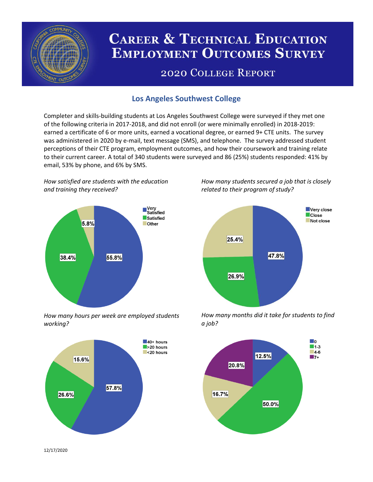

# **CAREER & TECHNICAL EDUCATION EMPLOYMENT OUTCOMES SURVEY**

## **2020 COLLEGE REPORT**

## **Los Angeles Southwest College**

Completer and skills-building students at Los Angeles Southwest College were surveyed if they met one of the following criteria in 2017-2018, and did not enroll (or were minimally enrolled) in 2018-2019: earned a certificate of 6 or more units, earned a vocational degree, or earned 9+ CTE units. The survey was administered in 2020 by e-mail, text message (SMS), and telephone. The survey addressed student perceptions of their CTE program, employment outcomes, and how their coursework and training relate to their current career. A total of 340 students were surveyed and 86 (25%) students responded: 41% by email, 53% by phone, and 6% by SMS.

*How satisfied are students with the education and training they received?*



*How many hours per week are employed students working?*



*How many students secured a job that is closely related to their program of study?*



*How many months did it take for students to find a job?*



12/17/2020